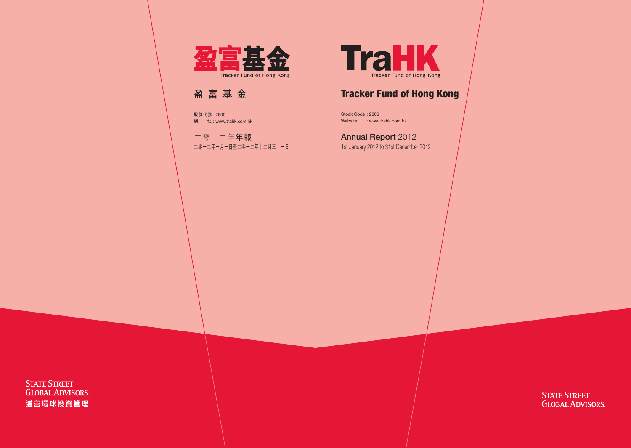

# Tracker Fund of Hong Kong

Stock Code : 2800 Website : www.trahk.com.hk

## Annual Report 2012

1st January 2012 to 31st December 2012

**STATE STREET GLOBAL ADVISORS**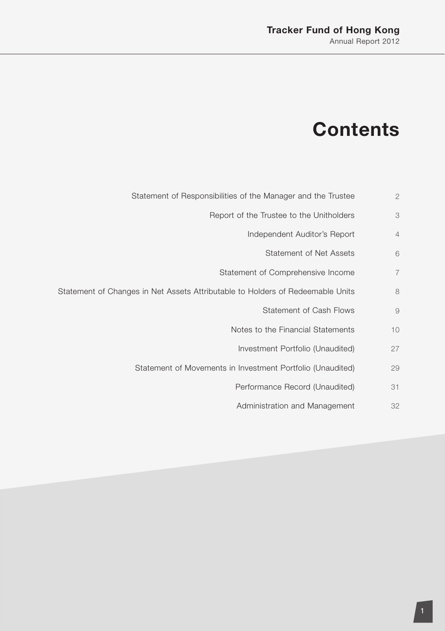## **Contents**

- Statement of Responsibilities of the Manager and the Trustee 2
	- Report of the Trustee to the Unitholders 3
		- Independent Auditor's Report 4
			- Statement of Net Assets 6
		- Statement of Comprehensive Income 7
- Statement of Changes in Net Assets Attributable to Holders of Redeemable Units 8
	- Statement of Cash Flows 9
	- Notes to the Financial Statements 10
		- Investment Portfolio (Unaudited) 27
	- Statement of Movements in Investment Portfolio (Unaudited) 29
		- Performance Record (Unaudited) 31
		- Administration and Management 32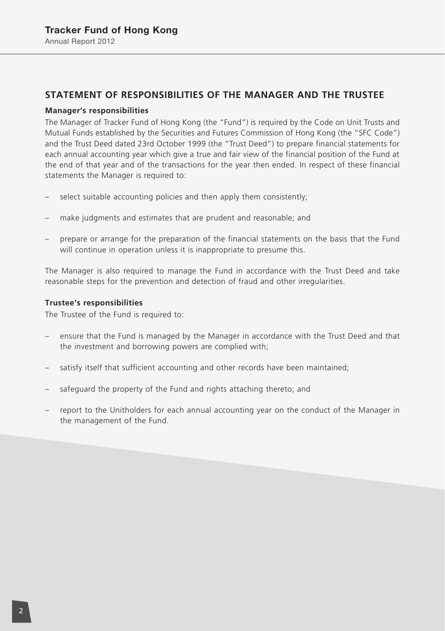### **STATEMENT OF RESPONSIBILITIES OF THE MANAGER AND THE TRUSTEE**

#### **Manager's responsibilities**

The Manager of Tracker Fund of Hong Kong (the "Fund") is required by the Code on Unit Trusts and Mutual Funds established by the Securities and Futures Commission of Hong Kong (the "SFC Code") and the Trust Deed dated 23rd October 1999 (the "Trust Deed") to prepare financial statements for each annual accounting year which give a true and fair view of the financial position of the Fund at the end of that year and of the transactions for the year then ended. In respect of these financial statements the Manager is required to:

- select suitable accounting policies and then apply them consistently;
- make judgments and estimates that are prudent and reasonable; and
- prepare or arrange for the preparation of the financial statements on the basis that the Fund will continue in operation unless it is inappropriate to presume this.

The Manager is also required to manage the Fund in accordance with the Trust Deed and take reasonable steps for the prevention and detection of fraud and other irregularities.

### **Trustee's responsibilities**

The Trustee of the Fund is required to:

- ensure that the Fund is managed by the Manager in accordance with the Trust Deed and that the investment and borrowing powers are complied with;
- satisfy itself that sufficient accounting and other records have been maintained;
- safeguard the property of the Fund and rights attaching thereto; and
- report to the Unitholders for each annual accounting year on the conduct of the Manager in the management of the Fund.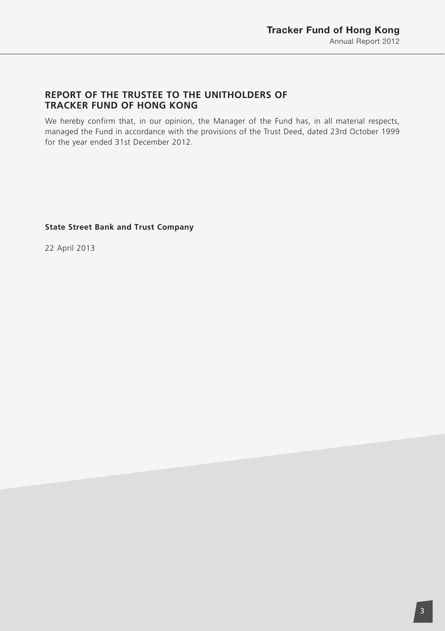### **REPORT OF THE TRUSTEE TO THE UNITHOLDERS OF TRACKER FUND OF HONG KONG**

We hereby confirm that, in our opinion, the Manager of the Fund has, in all material respects, managed the Fund in accordance with the provisions of the Trust Deed, dated 23rd October 1999 for the year ended 31st December 2012.

### **State Street Bank and Trust Company**

22 April 2013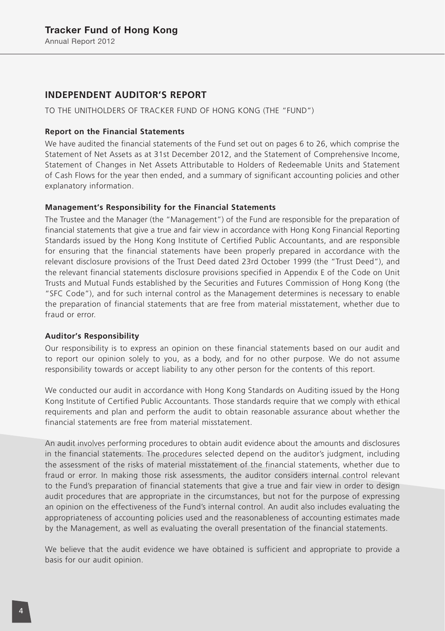### **INDEPENDENT AUDITOR'S REPORT**

TO THE UNITHOLDERS OF TRACKER FUND OF HONG KONG (THE "FUND")

#### **Report on the Financial Statements**

We have audited the financial statements of the Fund set out on pages 6 to 26, which comprise the Statement of Net Assets as at 31st December 2012, and the Statement of Comprehensive Income, Statement of Changes in Net Assets Attributable to Holders of Redeemable Units and Statement of Cash Flows for the year then ended, and a summary of significant accounting policies and other explanatory information.

#### **Management's Responsibility for the Financial Statements**

The Trustee and the Manager (the "Management") of the Fund are responsible for the preparation of financial statements that give a true and fair view in accordance with Hong Kong Financial Reporting Standards issued by the Hong Kong Institute of Certified Public Accountants, and are responsible for ensuring that the financial statements have been properly prepared in accordance with the relevant disclosure provisions of the Trust Deed dated 23rd October 1999 (the "Trust Deed"), and the relevant financial statements disclosure provisions specified in Appendix E of the Code on Unit Trusts and Mutual Funds established by the Securities and Futures Commission of Hong Kong (the "SFC Code"), and for such internal control as the Management determines is necessary to enable the preparation of financial statements that are free from material misstatement, whether due to fraud or error.

#### **Auditor's Responsibility**

Our responsibility is to express an opinion on these financial statements based on our audit and to report our opinion solely to you, as a body, and for no other purpose. We do not assume responsibility towards or accept liability to any other person for the contents of this report.

We conducted our audit in accordance with Hong Kong Standards on Auditing issued by the Hong Kong Institute of Certified Public Accountants. Those standards require that we comply with ethical requirements and plan and perform the audit to obtain reasonable assurance about whether the financial statements are free from material misstatement.

An audit involves performing procedures to obtain audit evidence about the amounts and disclosures in the financial statements. The procedures selected depend on the auditor's judgment, including the assessment of the risks of material misstatement of the financial statements, whether due to fraud or error. In making those risk assessments, the auditor considers internal control relevant to the Fund's preparation of financial statements that give a true and fair view in order to design audit procedures that are appropriate in the circumstances, but not for the purpose of expressing an opinion on the effectiveness of the Fund's internal control. An audit also includes evaluating the appropriateness of accounting policies used and the reasonableness of accounting estimates made by the Management, as well as evaluating the overall presentation of the financial statements.

We believe that the audit evidence we have obtained is sufficient and appropriate to provide a basis for our audit opinion.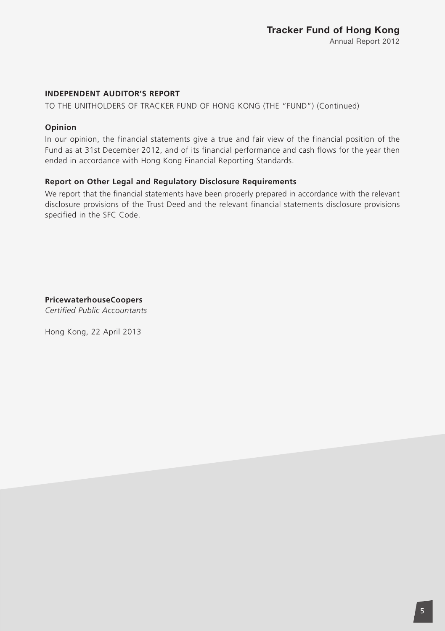#### **INDEPENDENT AUDITOR'S REPORT**

TO THE UNITHOLDERS OF TRACKER FUND OF HONG KONG (THE "FUND") (Continued)

### **Opinion**

In our opinion, the financial statements give a true and fair view of the financial position of the Fund as at 31st December 2012, and of its financial performance and cash flows for the year then ended in accordance with Hong Kong Financial Reporting Standards.

### **Report on Other Legal and Regulatory Disclosure Requirements**

We report that the financial statements have been properly prepared in accordance with the relevant disclosure provisions of the Trust Deed and the relevant financial statements disclosure provisions specified in the SFC Code.

**PricewaterhouseCoopers**

*Certified Public Accountants*

Hong Kong, 22 April 2013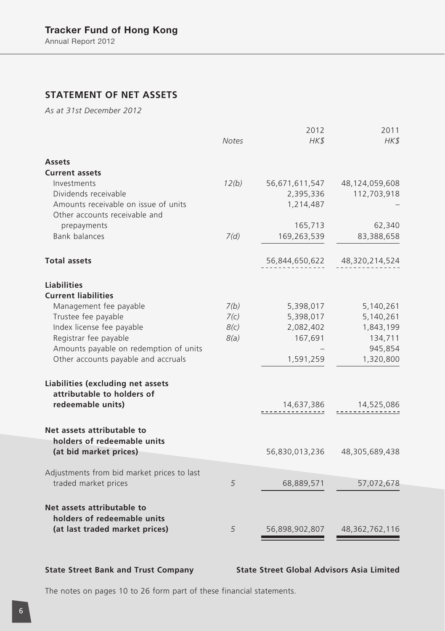### **STATEMENT OF NET ASSETS**

*As at 31st December 2012*

|                                            | <b>Notes</b> | 2012<br>HK\$   | 2011<br>HK\$   |
|--------------------------------------------|--------------|----------------|----------------|
| <b>Assets</b>                              |              |                |                |
| <b>Current assets</b>                      |              |                |                |
| Investments                                | 12(b)        | 56,671,611,547 | 48,124,059,608 |
| Dividends receivable                       |              | 2,395,336      | 112,703,918    |
| Amounts receivable on issue of units       |              | 1,214,487      |                |
| Other accounts receivable and              |              |                |                |
| prepayments                                |              | 165,713        | 62,340         |
| <b>Bank balances</b>                       | 7(d)         | 169,263,539    | 83,388,658     |
|                                            |              |                |                |
| <b>Total assets</b>                        |              | 56,844,650,622 | 48,320,214,524 |
| <b>Liabilities</b>                         |              |                |                |
| <b>Current liabilities</b>                 |              |                |                |
| Management fee payable                     | 7(b)         | 5,398,017      | 5,140,261      |
| Trustee fee payable                        | 7(c)         | 5,398,017      | 5,140,261      |
| Index license fee payable                  | 8(c)         | 2,082,402      | 1,843,199      |
| Registrar fee payable                      | 8(a)         | 167,691        | 134,711        |
| Amounts payable on redemption of units     |              |                | 945,854        |
| Other accounts payable and accruals        |              | 1,591,259      | 1,320,800      |
| Liabilities (excluding net assets          |              |                |                |
| attributable to holders of                 |              |                |                |
| redeemable units)                          |              | 14,637,386     | 14,525,086     |
| Net assets attributable to                 |              |                |                |
| holders of redeemable units                |              |                |                |
| (at bid market prices)                     |              | 56,830,013,236 | 48,305,689,438 |
| Adjustments from bid market prices to last |              |                |                |
| traded market prices                       | 5            | 68,889,571     | 57,072,678     |
| Net assets attributable to                 |              |                |                |
| holders of redeemable units                |              |                |                |
| (at last traded market prices)             | 5            | 56,898,902,807 | 48,362,762,116 |

**State Street Bank and Trust Company State Street Global Advisors Asia Limited**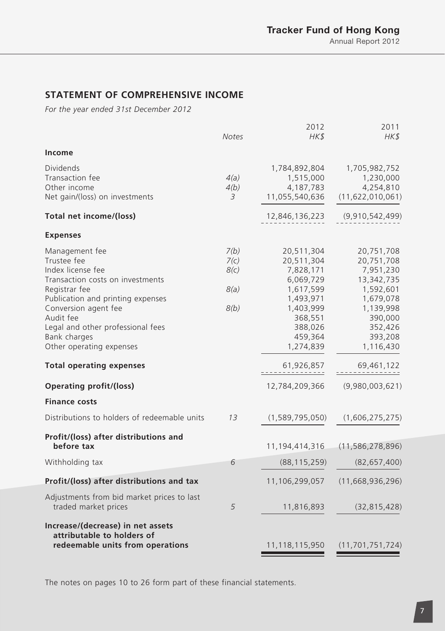### **STATEMENT OF COMPREHENSIVE INCOME**

*For the year ended 31st December 2012*

|                                                                                                                                                                                                                                                                    | <b>Notes</b>                         | 2012<br>HK\$                                                                                                                            | 2011<br>HK\$                                                                                                                             |
|--------------------------------------------------------------------------------------------------------------------------------------------------------------------------------------------------------------------------------------------------------------------|--------------------------------------|-----------------------------------------------------------------------------------------------------------------------------------------|------------------------------------------------------------------------------------------------------------------------------------------|
| Income                                                                                                                                                                                                                                                             |                                      |                                                                                                                                         |                                                                                                                                          |
| Dividends<br>Transaction fee<br>Other income<br>Net gain/(loss) on investments                                                                                                                                                                                     | 4(a)<br>4(b)<br>3                    | 1,784,892,804<br>1,515,000<br>4,187,783<br>11,055,540,636                                                                               | 1,705,982,752<br>1,230,000<br>4,254,810<br>(11, 622, 010, 061)                                                                           |
| Total net income/(loss)                                                                                                                                                                                                                                            |                                      | 12,846,136,223                                                                                                                          | (9,910,542,499)                                                                                                                          |
| <b>Expenses</b>                                                                                                                                                                                                                                                    |                                      |                                                                                                                                         |                                                                                                                                          |
| Management fee<br>Trustee fee<br>Index license fee<br>Transaction costs on investments<br>Registrar fee<br>Publication and printing expenses<br>Conversion agent fee<br>Audit fee<br>Legal and other professional fees<br>Bank charges<br>Other operating expenses | 7(b)<br>7(c)<br>8(c)<br>8(a)<br>8(b) | 20,511,304<br>20,511,304<br>7,828,171<br>6,069,729<br>1,617,599<br>1,493,971<br>1,403,999<br>368,551<br>388,026<br>459,364<br>1,274,839 | 20,751,708<br>20,751,708<br>7,951,230<br>13,342,735<br>1,592,601<br>1,679,078<br>1,139,998<br>390,000<br>352,426<br>393,208<br>1,116,430 |
| <b>Total operating expenses</b>                                                                                                                                                                                                                                    |                                      | 61,926,857                                                                                                                              | 69,461,122<br><u>-------------</u>                                                                                                       |
| Operating profit/(loss)                                                                                                                                                                                                                                            |                                      | 12,784,209,366                                                                                                                          | (9,980,003,621)                                                                                                                          |
| <b>Finance costs</b>                                                                                                                                                                                                                                               |                                      |                                                                                                                                         |                                                                                                                                          |
| Distributions to holders of redeemable units                                                                                                                                                                                                                       | 13                                   | (1,589,795,050)                                                                                                                         | (1,606,275,275)                                                                                                                          |
| Profit/(loss) after distributions and<br>before tax                                                                                                                                                                                                                |                                      | 11,194,414,316                                                                                                                          | (11, 586, 278, 896)                                                                                                                      |
| Withholding tax                                                                                                                                                                                                                                                    | 6                                    | (88, 115, 259)                                                                                                                          | (82, 657, 400)                                                                                                                           |
| Profit/(loss) after distributions and tax                                                                                                                                                                                                                          |                                      | 11,106,299,057                                                                                                                          | (11,668,936,296)                                                                                                                         |
| Adjustments from bid market prices to last<br>traded market prices                                                                                                                                                                                                 | 5                                    | 11,816,893                                                                                                                              | (32, 815, 428)                                                                                                                           |
| Increase/(decrease) in net assets<br>attributable to holders of<br>redeemable units from operations                                                                                                                                                                |                                      | 11,118,115,950                                                                                                                          | (11, 701, 751, 724)                                                                                                                      |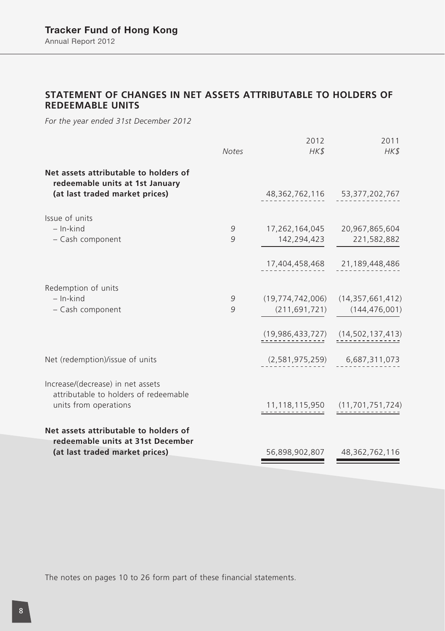### **STATEMENT OF CHANGES IN NET ASSETS ATTRIBUTABLE TO HOLDERS OF REDEEMABLE UNITS**

*For the year ended 31st December 2012*

|                                                                                                            | <b>Notes</b> | 2012<br>HK\$     | 2011<br>HK\$                                |
|------------------------------------------------------------------------------------------------------------|--------------|------------------|---------------------------------------------|
| Net assets attributable to holders of<br>redeemable units at 1st January<br>(at last traded market prices) |              |                  | 48, 362, 762, 116 53, 377, 202, 767         |
|                                                                                                            |              |                  |                                             |
| Issue of units                                                                                             |              |                  |                                             |
| $-$ In-kind                                                                                                | 9            | 17,262,164,045   | 20,967,865,604                              |
| - Cash component                                                                                           | 9            | 142,294,423      | 221,582,882                                 |
|                                                                                                            |              |                  | 17,404,458,468 21,189,448,486               |
| Redemption of units                                                                                        |              |                  |                                             |
| $-$ In-kind                                                                                                | 9            |                  | $(19, 774, 742, 006)$ $(14, 357, 661, 412)$ |
| - Cash component                                                                                           | 9            | (211, 691, 721)  | (144, 476, 001)                             |
|                                                                                                            |              | (19,986,433,727) | (14,502,137,413)                            |
| Net (redemption)/issue of units                                                                            |              |                  | $(2,581,975,259)$ 6,687,311,073             |
| Increase/(decrease) in net assets<br>attributable to holders of redeemable                                 |              |                  |                                             |
| units from operations                                                                                      |              |                  | $11,118,115,950$ $(11,701,751,724)$         |
| Net assets attributable to holders of<br>redeemable units at 31st December                                 |              |                  |                                             |
| (at last traded market prices)                                                                             |              | 56,898,902,807   | 48,362,762,116                              |
|                                                                                                            |              |                  |                                             |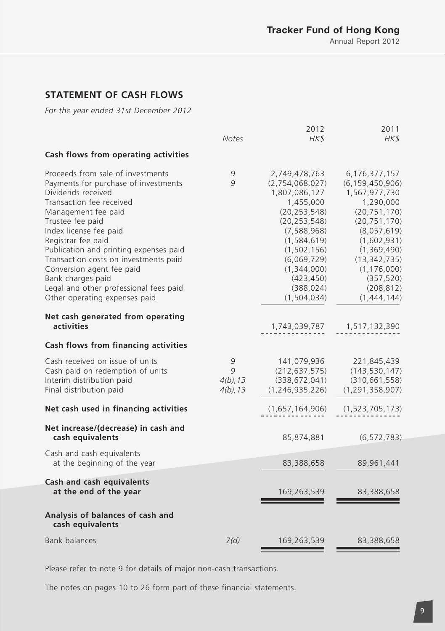### **STATEMENT OF CASH FLOWS**

*For the year ended 31st December 2012*

|                                                                                                                                                                                                                                                                                                                                                                                                                                        | Notes                                | 2012<br>HK\$                                                                                                                                                                                                                     | 2011<br>HK\$                                                                                                                                                                                                                        |
|----------------------------------------------------------------------------------------------------------------------------------------------------------------------------------------------------------------------------------------------------------------------------------------------------------------------------------------------------------------------------------------------------------------------------------------|--------------------------------------|----------------------------------------------------------------------------------------------------------------------------------------------------------------------------------------------------------------------------------|-------------------------------------------------------------------------------------------------------------------------------------------------------------------------------------------------------------------------------------|
| Cash flows from operating activities                                                                                                                                                                                                                                                                                                                                                                                                   |                                      |                                                                                                                                                                                                                                  |                                                                                                                                                                                                                                     |
| Proceeds from sale of investments<br>Payments for purchase of investments<br>Dividends received<br>Transaction fee received<br>Management fee paid<br>Trustee fee paid<br>Index license fee paid<br>Registrar fee paid<br>Publication and printing expenses paid<br>Transaction costs on investments paid<br>Conversion agent fee paid<br>Bank charges paid<br>Legal and other professional fees paid<br>Other operating expenses paid | 9<br>9                               | 2,749,478,763<br>(2,754,068,027)<br>1,807,086,127<br>1,455,000<br>(20, 253, 548)<br>(20, 253, 548)<br>(7, 588, 968)<br>(1, 584, 619)<br>(1, 502, 156)<br>(6,069,729)<br>(1,344,000)<br>(423, 450)<br>(388, 024)<br>(1, 504, 034) | 6, 176, 377, 157<br>(6, 159, 450, 906)<br>1,567,977,730<br>1,290,000<br>(20, 751, 170)<br>(20, 751, 170)<br>(8,057,619)<br>(1,602,931)<br>(1,369,490)<br>(13, 342, 735)<br>(1, 176, 000)<br>(357, 520)<br>(208, 812)<br>(1,444,144) |
| Net cash generated from operating<br>activities                                                                                                                                                                                                                                                                                                                                                                                        |                                      | 1,743,039,787                                                                                                                                                                                                                    | 1,517,132,390                                                                                                                                                                                                                       |
| Cash flows from financing activities                                                                                                                                                                                                                                                                                                                                                                                                   |                                      |                                                                                                                                                                                                                                  |                                                                                                                                                                                                                                     |
| Cash received on issue of units<br>Cash paid on redemption of units<br>Interim distribution paid<br>Final distribution paid                                                                                                                                                                                                                                                                                                            | 9<br>9<br>$4(b)$ , 13<br>$4(b)$ , 13 | 141,079,936<br>(212, 637, 575)<br>(338, 672, 041)<br>(1, 246, 935, 226)                                                                                                                                                          | 221,845,439<br>(143, 530, 147)<br>(310, 661, 558)<br>(1, 291, 358, 907)                                                                                                                                                             |
| Net cash used in financing activities                                                                                                                                                                                                                                                                                                                                                                                                  |                                      | (1,657,164,906)                                                                                                                                                                                                                  | (1, 523, 705, 173)                                                                                                                                                                                                                  |
| Net increase/(decrease) in cash and<br>cash equivalents                                                                                                                                                                                                                                                                                                                                                                                |                                      | 85,874,881                                                                                                                                                                                                                       | (6, 572, 783)                                                                                                                                                                                                                       |
| Cash and cash equivalents<br>at the beginning of the year                                                                                                                                                                                                                                                                                                                                                                              |                                      | 83,388,658                                                                                                                                                                                                                       | 89,961,441                                                                                                                                                                                                                          |
| Cash and cash equivalents<br>at the end of the year                                                                                                                                                                                                                                                                                                                                                                                    |                                      | 169,263,539                                                                                                                                                                                                                      | 83,388,658                                                                                                                                                                                                                          |
| Analysis of balances of cash and<br>cash equivalents                                                                                                                                                                                                                                                                                                                                                                                   |                                      |                                                                                                                                                                                                                                  |                                                                                                                                                                                                                                     |
| Bank balances                                                                                                                                                                                                                                                                                                                                                                                                                          | 7(d)                                 | 169,263,539                                                                                                                                                                                                                      | 83,388,658                                                                                                                                                                                                                          |

Please refer to note 9 for details of major non-cash transactions.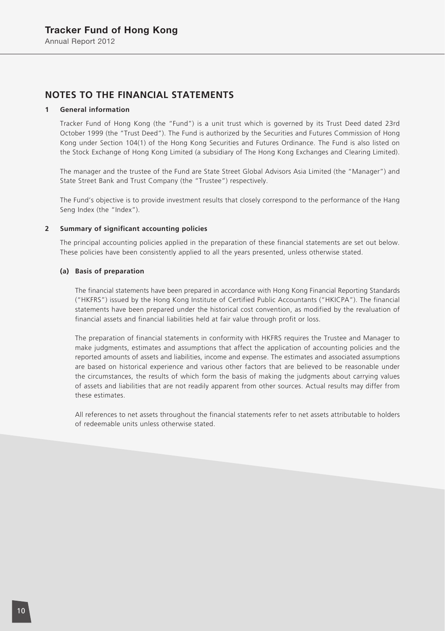### **NOTES TO THE FINANCIAL STATEMENTS**

#### **1 General information**

Tracker Fund of Hong Kong (the "Fund") is a unit trust which is governed by its Trust Deed dated 23rd October 1999 (the "Trust Deed"). The Fund is authorized by the Securities and Futures Commission of Hong Kong under Section 104(1) of the Hong Kong Securities and Futures Ordinance. The Fund is also listed on the Stock Exchange of Hong Kong Limited (a subsidiary of The Hong Kong Exchanges and Clearing Limited).

The manager and the trustee of the Fund are State Street Global Advisors Asia Limited (the "Manager") and State Street Bank and Trust Company (the "Trustee") respectively.

The Fund's objective is to provide investment results that closely correspond to the performance of the Hang Seng Index (the "Index").

#### **2 Summary of significant accounting policies**

The principal accounting policies applied in the preparation of these financial statements are set out below. These policies have been consistently applied to all the years presented, unless otherwise stated.

#### **(a) Basis of preparation**

The financial statements have been prepared in accordance with Hong Kong Financial Reporting Standards ("HKFRS") issued by the Hong Kong Institute of Certified Public Accountants ("HKICPA"). The financial statements have been prepared under the historical cost convention, as modified by the revaluation of financial assets and financial liabilities held at fair value through profit or loss.

The preparation of financial statements in conformity with HKFRS requires the Trustee and Manager to make judgments, estimates and assumptions that affect the application of accounting policies and the reported amounts of assets and liabilities, income and expense. The estimates and associated assumptions are based on historical experience and various other factors that are believed to be reasonable under the circumstances, the results of which form the basis of making the judgments about carrying values of assets and liabilities that are not readily apparent from other sources. Actual results may differ from these estimates.

All references to net assets throughout the financial statements refer to net assets attributable to holders of redeemable units unless otherwise stated.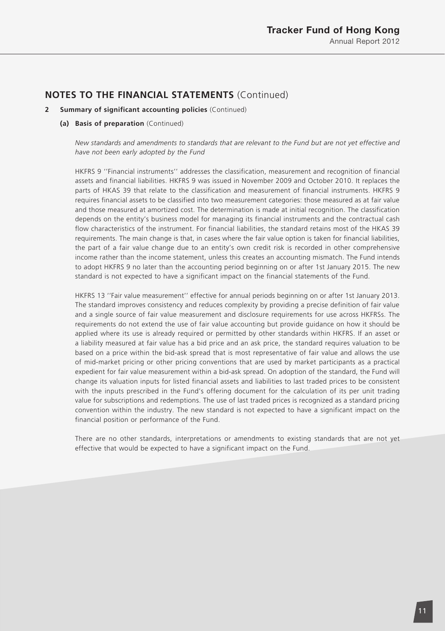#### **2 Summary of significant accounting policies** (Continued)

#### **(a) Basis of preparation** (Continued)

*New standards and amendments to standards that are relevant to the Fund but are not yet effective and have not been early adopted by the Fund*

HKFRS 9 ''Financial instruments'' addresses the classification, measurement and recognition of financial assets and financial liabilities. HKFRS 9 was issued in November 2009 and October 2010. It replaces the parts of HKAS 39 that relate to the classification and measurement of financial instruments. HKFRS 9 requires financial assets to be classified into two measurement categories: those measured as at fair value and those measured at amortized cost. The determination is made at initial recognition. The classification depends on the entity's business model for managing its financial instruments and the contractual cash flow characteristics of the instrument. For financial liabilities, the standard retains most of the HKAS 39 requirements. The main change is that, in cases where the fair value option is taken for financial liabilities, the part of a fair value change due to an entity's own credit risk is recorded in other comprehensive income rather than the income statement, unless this creates an accounting mismatch. The Fund intends to adopt HKFRS 9 no later than the accounting period beginning on or after 1st January 2015. The new standard is not expected to have a significant impact on the financial statements of the Fund.

HKFRS 13 ''Fair value measurement'' effective for annual periods beginning on or after 1st January 2013. The standard improves consistency and reduces complexity by providing a precise definition of fair value and a single source of fair value measurement and disclosure requirements for use across HKFRSs. The requirements do not extend the use of fair value accounting but provide guidance on how it should be applied where its use is already required or permitted by other standards within HKFRS. If an asset or a liability measured at fair value has a bid price and an ask price, the standard requires valuation to be based on a price within the bid-ask spread that is most representative of fair value and allows the use of mid-market pricing or other pricing conventions that are used by market participants as a practical expedient for fair value measurement within a bid-ask spread. On adoption of the standard, the Fund will change its valuation inputs for listed financial assets and liabilities to last traded prices to be consistent with the inputs prescribed in the Fund's offering document for the calculation of its per unit trading value for subscriptions and redemptions. The use of last traded prices is recognized as a standard pricing convention within the industry. The new standard is not expected to have a significant impact on the financial position or performance of the Fund.

There are no other standards, interpretations or amendments to existing standards that are not yet effective that would be expected to have a significant impact on the Fund.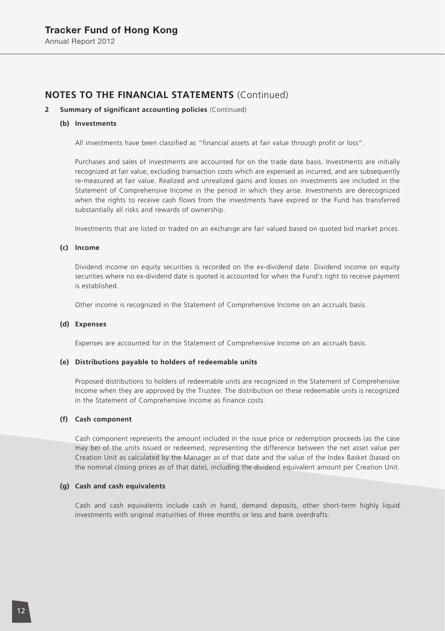#### **2 Summary of significant accounting policies** (Continued)

#### **(b) Investments**

All investments have been classified as "financial assets at fair value through profit or loss".

Purchases and sales of investments are accounted for on the trade date basis. Investments are initially recognized at fair value, excluding transaction costs which are expensed as incurred, and are subsequently re-measured at fair value. Realized and unrealized gains and losses on investments are included in the Statement of Comprehensive Income in the period in which they arise. Investments are derecognized when the rights to receive cash flows from the investments have expired or the Fund has transferred substantially all risks and rewards of ownership.

Investments that are listed or traded on an exchange are fair valued based on quoted bid market prices.

#### **(c) Income**

Dividend income on equity securities is recorded on the ex-dividend date. Dividend income on equity securities where no ex-dividend date is quoted is accounted for when the Fund's right to receive payment is established.

Other income is recognized in the Statement of Comprehensive Income on an accruals basis.

#### **(d) Expenses**

Expenses are accounted for in the Statement of Comprehensive Income on an accruals basis.

#### **(e) Distributions payable to holders of redeemable units**

Proposed distributions to holders of redeemable units are recognized in the Statement of Comprehensive Income when they are approved by the Trustee. The distribution on these redeemable units is recognized in the Statement of Comprehensive Income as finance costs.

#### **(f) Cash component**

Cash component represents the amount included in the issue price or redemption proceeds (as the case may be) of the units issued or redeemed, representing the difference between the net asset value per Creation Unit as calculated by the Manager as of that date and the value of the Index Basket (based on the nominal closing prices as of that date), including the dividend equivalent amount per Creation Unit.

#### **(g) Cash and cash equivalents**

Cash and cash equivalents include cash in hand, demand deposits, other short-term highly liquid investments with original maturities of three months or less and bank overdrafts.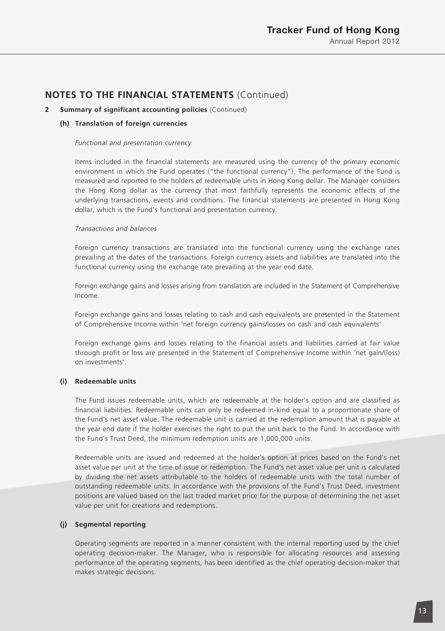#### **2 Summary of significant accounting policies** (Continued)

#### **(h) Translation of foreign currencies**

#### *Functional and presentation currency*

Items included in the financial statements are measured using the currency of the primary economic environment in which the Fund operates ("the functional currency"). The performance of the Fund is measured and reported to the holders of redeemable units in Hong Kong dollar. The Manager considers the Hong Kong dollar as the currency that most faithfully represents the economic effects of the underlying transactions, events and conditions. The financial statements are presented in Hong Kong dollar, which is the Fund's functional and presentation currency.

#### *Transactions and balances*

Foreign currency transactions are translated into the functional currency using the exchange rates prevailing at the dates of the transactions. Foreign currency assets and liabilities are translated into the functional currency using the exchange rate prevailing at the year end date.

Foreign exchange gains and losses arising from translation are included in the Statement of Comprehensive Income.

Foreign exchange gains and losses relating to cash and cash equivalents are presented in the Statement of Comprehensive Income within 'net foreign currency gains/losses on cash and cash equivalents'.

Foreign exchange gains and losses relating to the financial assets and liabilities carried at fair value through profit or loss are presented in the Statement of Comprehensive Income within 'net gain/(loss) on investments'.

#### **(i) Redeemable units**

The Fund issues redeemable units, which are redeemable at the holder's option and are classified as financial liabilities. Redeemable units can only be redeemed in-kind equal to a proportionate share of the Fund's net asset value. The redeemable unit is carried at the redemption amount that is payable at the year end date if the holder exercises the right to put the unit back to the Fund. In accordance with the Fund's Trust Deed, the minimum redemption units are 1,000,000 units.

Redeemable units are issued and redeemed at the holder's option at prices based on the Fund's net asset value per unit at the time of issue or redemption. The Fund's net asset value per unit is calculated by dividing the net assets attributable to the holders of redeemable units with the total number of outstanding redeemable units. In accordance with the provisions of the Fund's Trust Deed, investment positions are valued based on the last traded market price for the purpose of determining the net asset value per unit for creations and redemptions.

#### **(j) Segmental reporting**

Operating segments are reported in a manner consistent with the internal reporting used by the chief operating decision-maker. The Manager, who is responsible for allocating resources and assessing performance of the operating segments, has been identified as the chief operating decision-maker that makes strategic decisions.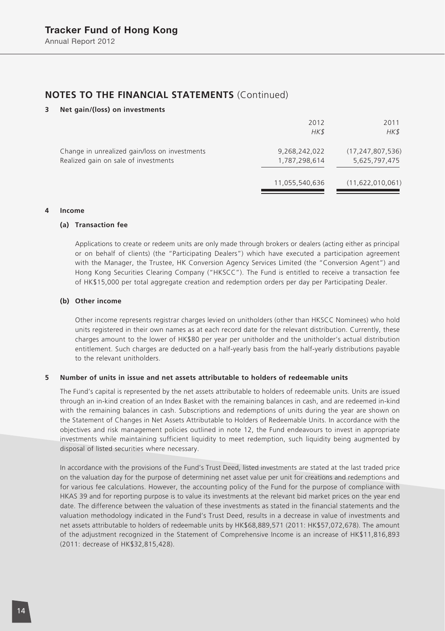#### **3 Net gain/(loss) on investments**

|                                               | 2012<br>HK\$   | 2011<br>HK\$        |
|-----------------------------------------------|----------------|---------------------|
| Change in unrealized gain/loss on investments | 9,268,242,022  | (17, 247, 807, 536) |
| Realized gain on sale of investments          | 1,787,298,614  | 5,625,797,475       |
|                                               | 11,055,540,636 | (11,622,010,061)    |

#### **4 Income**

#### **(a) Transaction fee**

Applications to create or redeem units are only made through brokers or dealers (acting either as principal or on behalf of clients) (the "Participating Dealers") which have executed a participation agreement with the Manager, the Trustee, HK Conversion Agency Services Limited (the "Conversion Agent") and Hong Kong Securities Clearing Company ("HKSCC"). The Fund is entitled to receive a transaction fee of HK\$15,000 per total aggregate creation and redemption orders per day per Participating Dealer.

#### **(b) Other income**

Other income represents registrar charges levied on unitholders (other than HKSCC Nominees) who hold units registered in their own names as at each record date for the relevant distribution. Currently, these charges amount to the lower of HK\$80 per year per unitholder and the unitholder's actual distribution entitlement. Such charges are deducted on a half-yearly basis from the half-yearly distributions payable to the relevant unitholders.

#### **5 Number of units in issue and net assets attributable to holders of redeemable units**

The Fund's capital is represented by the net assets attributable to holders of redeemable units. Units are issued through an in-kind creation of an Index Basket with the remaining balances in cash, and are redeemed in-kind with the remaining balances in cash. Subscriptions and redemptions of units during the year are shown on the Statement of Changes in Net Assets Attributable to Holders of Redeemable Units. In accordance with the objectives and risk management policies outlined in note 12, the Fund endeavours to invest in appropriate investments while maintaining sufficient liquidity to meet redemption, such liquidity being augmented by disposal of listed securities where necessary.

In accordance with the provisions of the Fund's Trust Deed, listed investments are stated at the last traded price on the valuation day for the purpose of determining net asset value per unit for creations and redemptions and for various fee calculations. However, the accounting policy of the Fund for the purpose of compliance with HKAS 39 and for reporting purpose is to value its investments at the relevant bid market prices on the year end date. The difference between the valuation of these investments as stated in the financial statements and the valuation methodology indicated in the Fund's Trust Deed, results in a decrease in value of investments and net assets attributable to holders of redeemable units by HK\$68,889,571 (2011: HK\$57,072,678). The amount of the adjustment recognized in the Statement of Comprehensive Income is an increase of HK\$11,816,893 (2011: decrease of HK\$32,815,428).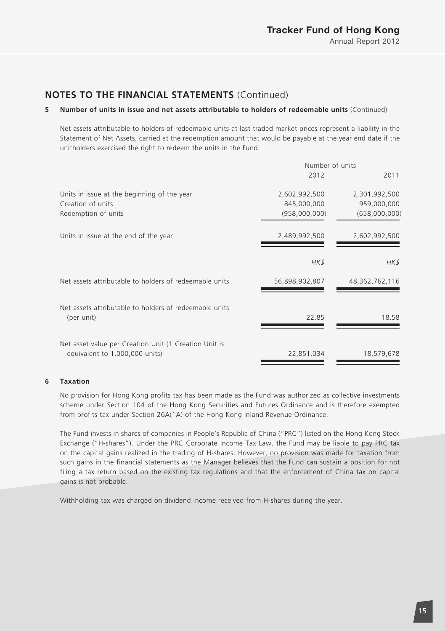#### **5 Number of units in issue and net assets attributable to holders of redeemable units** (Continued)

Net assets attributable to holders of redeemable units at last traded market prices represent a liability in the Statement of Net Assets, carried at the redemption amount that would be payable at the year end date if the unitholders exercised the right to redeem the units in the Fund.

|                                                        | Number of units |                |  |
|--------------------------------------------------------|-----------------|----------------|--|
|                                                        | 2012            | 2011           |  |
| Units in issue at the beginning of the year            | 2,602,992,500   | 2,301,992,500  |  |
| Creation of units                                      | 845,000,000     | 959,000,000    |  |
| Redemption of units                                    | (958,000,000)   | (658,000,000)  |  |
| Units in issue at the end of the year                  | 2,489,992,500   | 2,602,992,500  |  |
|                                                        | HK\$            | HK\$           |  |
| Net assets attributable to holders of redeemable units | 56,898,902,807  | 48,362,762,116 |  |
| Net assets attributable to holders of redeemable units |                 |                |  |
| (per unit)                                             | 22.85           | 18.58          |  |
| Net asset value per Creation Unit (1 Creation Unit is  |                 |                |  |
| equivalent to 1,000,000 units)                         | 22,851,034      | 18,579,678     |  |

#### **6 Taxation**

No provision for Hong Kong profits tax has been made as the Fund was authorized as collective investments scheme under Section 104 of the Hong Kong Securities and Futures Ordinance and is therefore exempted from profits tax under Section 26A(1A) of the Hong Kong Inland Revenue Ordinance.

The Fund invests in shares of companies in People's Republic of China ("PRC") listed on the Hong Kong Stock Exchange ("H-shares"). Under the PRC Corporate Income Tax Law, the Fund may be liable to pay PRC tax on the capital gains realized in the trading of H-shares. However, no provision was made for taxation from such gains in the financial statements as the Manager believes that the Fund can sustain a position for not filing a tax return based on the existing tax regulations and that the enforcement of China tax on capital gains is not probable.

Withholding tax was charged on dividend income received from H-shares during the year.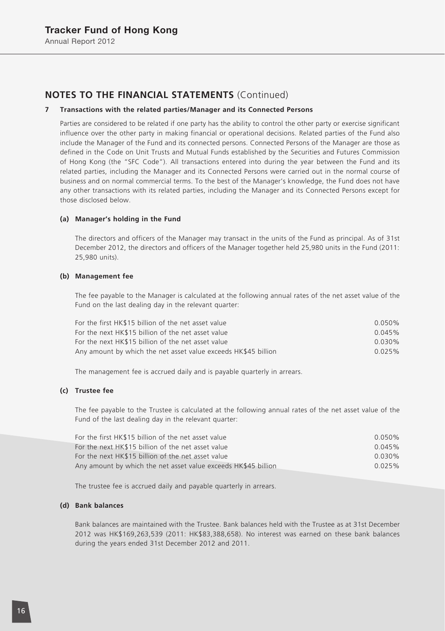#### **7 Transactions with the related parties/Manager and its Connected Persons**

Parties are considered to be related if one party has the ability to control the other party or exercise significant influence over the other party in making financial or operational decisions. Related parties of the Fund also include the Manager of the Fund and its connected persons. Connected Persons of the Manager are those as defined in the Code on Unit Trusts and Mutual Funds established by the Securities and Futures Commission of Hong Kong (the "SFC Code"). All transactions entered into during the year between the Fund and its related parties, including the Manager and its Connected Persons were carried out in the normal course of business and on normal commercial terms. To the best of the Manager's knowledge, the Fund does not have any other transactions with its related parties, including the Manager and its Connected Persons except for those disclosed below.

#### **(a) Manager's holding in the Fund**

The directors and officers of the Manager may transact in the units of the Fund as principal. As of 31st December 2012, the directors and officers of the Manager together held 25,980 units in the Fund (2011: 25,980 units).

#### **(b) Management fee**

The fee payable to the Manager is calculated at the following annual rates of the net asset value of the Fund on the last dealing day in the relevant quarter:

| For the first HK\$15 billion of the net asset value            | $0.050\%$ |
|----------------------------------------------------------------|-----------|
| For the next HK\$15 billion of the net asset value             | 0.045%    |
| For the next HK\$15 billion of the net asset value             | $0.030\%$ |
| Any amount by which the net asset value exceeds HK\$45 billion | 0.025%    |

The management fee is accrued daily and is payable quarterly in arrears.

#### **(c) Trustee fee**

The fee payable to the Trustee is calculated at the following annual rates of the net asset value of the Fund of the last dealing day in the relevant quarter:

| For the first HK\$15 billion of the net asset value            | $0.050\%$ |
|----------------------------------------------------------------|-----------|
| For the next HK\$15 billion of the net asset value             | 0.045%    |
| For the next HK\$15 billion of the net asset value             | $0.030\%$ |
| Any amount by which the net asset value exceeds HK\$45 billion | 0.025%    |

The trustee fee is accrued daily and payable quarterly in arrears.

#### **(d) Bank balances**

Bank balances are maintained with the Trustee. Bank balances held with the Trustee as at 31st December 2012 was HK\$169,263,539 (2011: HK\$83,388,658). No interest was earned on these bank balances during the years ended 31st December 2012 and 2011.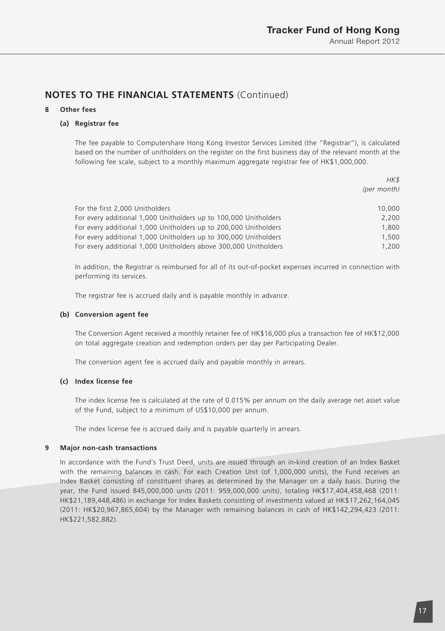#### **8 Other fees**

#### **(a) Registrar fee**

The fee payable to Computershare Hong Kong Investor Services Limited (the "Registrar"), is calculated based on the number of unitholders on the register on the first business day of the relevant month at the following fee scale, subject to a monthly maximum aggregate registrar fee of HK\$1,000,000.

| HK\$        |
|-------------|
| (per month) |
| 10,000      |
| 2.200       |
| 1,800       |
| 1,500       |
| 1,200       |
|             |

In addition, the Registrar is reimbursed for all of its out-of-pocket expenses incurred in connection with performing its services.

The registrar fee is accrued daily and is payable monthly in advance.

#### **(b) Conversion agent fee**

The Conversion Agent received a monthly retainer fee of HK\$16,000 plus a transaction fee of HK\$12,000 on total aggregate creation and redemption orders per day per Participating Dealer.

The conversion agent fee is accrued daily and payable monthly in arrears.

#### **(c) Index license fee**

The index license fee is calculated at the rate of 0.015% per annum on the daily average net asset value of the Fund, subject to a minimum of US\$10,000 per annum.

The index license fee is accrued daily and is payable quarterly in arrears.

#### **9 Major non-cash transactions**

In accordance with the Fund's Trust Deed, units are issued through an in-kind creation of an Index Basket with the remaining balances in cash. For each Creation Unit (of 1,000,000 units), the Fund receives an Index Basket consisting of constituent shares as determined by the Manager on a daily basis. During the year, the Fund issued 845,000,000 units (2011: 959,000,000 units), totaling HK\$17,404,458,468 (2011: HK\$21,189,448,486) in exchange for Index Baskets consisting of investments valued at HK\$17,262,164,045 (2011: HK\$20,967,865,604) by the Manager with remaining balances in cash of HK\$142,294,423 (2011: HK\$221,582,882).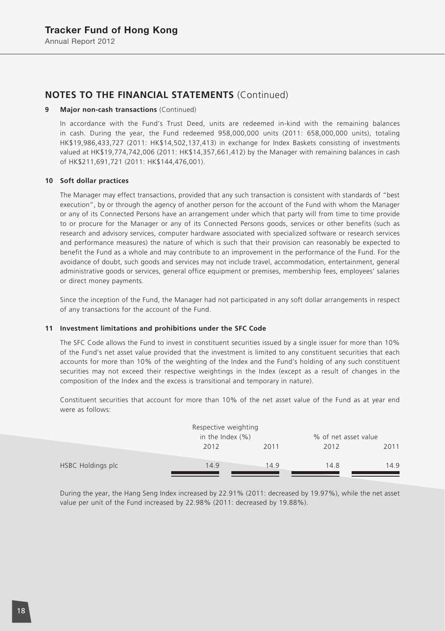#### **9 Major non-cash transactions** (Continued)

In accordance with the Fund's Trust Deed, units are redeemed in-kind with the remaining balances in cash. During the year, the Fund redeemed 958,000,000 units (2011: 658,000,000 units), totaling HK\$19,986,433,727 (2011: HK\$14,502,137,413) in exchange for Index Baskets consisting of investments valued at HK\$19,774,742,006 (2011: HK\$14,357,661,412) by the Manager with remaining balances in cash of HK\$211,691,721 (2011: HK\$144,476,001).

#### **10 Soft dollar practices**

The Manager may effect transactions, provided that any such transaction is consistent with standards of "best execution", by or through the agency of another person for the account of the Fund with whom the Manager or any of its Connected Persons have an arrangement under which that party will from time to time provide to or procure for the Manager or any of its Connected Persons goods, services or other benefits (such as research and advisory services, computer hardware associated with specialized software or research services and performance measures) the nature of which is such that their provision can reasonably be expected to benefit the Fund as a whole and may contribute to an improvement in the performance of the Fund. For the avoidance of doubt, such goods and services may not include travel, accommodation, entertainment, general administrative goods or services, general office equipment or premises, membership fees, employees' salaries or direct money payments.

Since the inception of the Fund, the Manager had not participated in any soft dollar arrangements in respect of any transactions for the account of the Fund.

#### **11 Investment limitations and prohibitions under the SFC Code**

The SFC Code allows the Fund to invest in constituent securities issued by a single issuer for more than 10% of the Fund's net asset value provided that the investment is limited to any constituent securities that each accounts for more than 10% of the weighting of the Index and the Fund's holding of any such constituent securities may not exceed their respective weightings in the Index (except as a result of changes in the composition of the Index and the excess is transitional and temporary in nature).

Constituent securities that account for more than 10% of the net asset value of the Fund as at year end were as follows:

|                   | Respective weighting<br>in the Index $(\% )$ |      | % of net asset value |      |
|-------------------|----------------------------------------------|------|----------------------|------|
|                   | 2012                                         | 2011 | 2012                 | 2011 |
| HSBC Holdings plc | 14.9                                         | 14.9 | 14.8                 | 14.9 |

During the year, the Hang Seng Index increased by 22.91% (2011: decreased by 19.97%), while the net asset value per unit of the Fund increased by 22.98% (2011: decreased by 19.88%).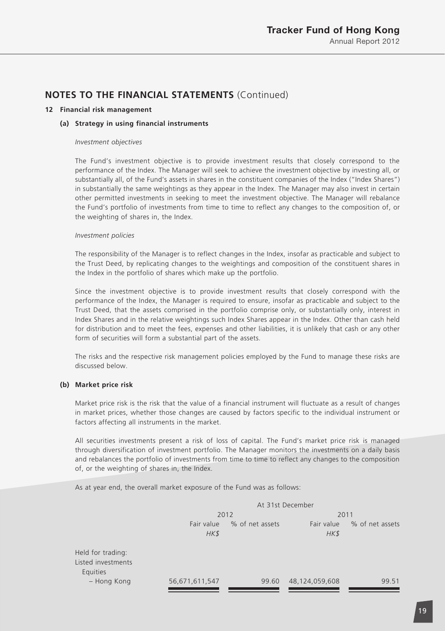#### **12 Financial risk management**

#### **(a) Strategy in using financial instruments**

#### *Investment objectives*

The Fund's investment objective is to provide investment results that closely correspond to the performance of the Index. The Manager will seek to achieve the investment objective by investing all, or substantially all, of the Fund's assets in shares in the constituent companies of the Index ("Index Shares") in substantially the same weightings as they appear in the Index. The Manager may also invest in certain other permitted investments in seeking to meet the investment objective. The Manager will rebalance the Fund's portfolio of investments from time to time to reflect any changes to the composition of, or the weighting of shares in, the Index.

#### *Investment policies*

The responsibility of the Manager is to reflect changes in the Index, insofar as practicable and subject to the Trust Deed, by replicating changes to the weightings and composition of the constituent shares in the Index in the portfolio of shares which make up the portfolio.

Since the investment objective is to provide investment results that closely correspond with the performance of the Index, the Manager is required to ensure, insofar as practicable and subject to the Trust Deed, that the assets comprised in the portfolio comprise only, or substantially only, interest in Index Shares and in the relative weightings such Index Shares appear in the Index. Other than cash held for distribution and to meet the fees, expenses and other liabilities, it is unlikely that cash or any other form of securities will form a substantial part of the assets.

The risks and the respective risk management policies employed by the Fund to manage these risks are discussed below.

#### **(b) Market price risk**

Market price risk is the risk that the value of a financial instrument will fluctuate as a result of changes in market prices, whether those changes are caused by factors specific to the individual instrument or factors affecting all instruments in the market.

All securities investments present a risk of loss of capital. The Fund's market price risk is managed through diversification of investment portfolio. The Manager monitors the investments on a daily basis and rebalances the portfolio of investments from time to time to reflect any changes to the composition of, or the weighting of shares in, the Index.

As at year end, the overall market exposure of the Fund was as follows:

|                                                     |                    | At 31st December |                    |                 |  |
|-----------------------------------------------------|--------------------|------------------|--------------------|-----------------|--|
|                                                     |                    | 2012             |                    | 2011            |  |
|                                                     | Fair value<br>HK\$ | % of net assets  | Fair value<br>HK\$ | % of net assets |  |
| Held for trading:<br>Listed investments<br>Equities |                    |                  |                    |                 |  |
| - Hong Kong                                         | 56,671,611,547     | 99.60            | 48,124,059,608     | 99.51           |  |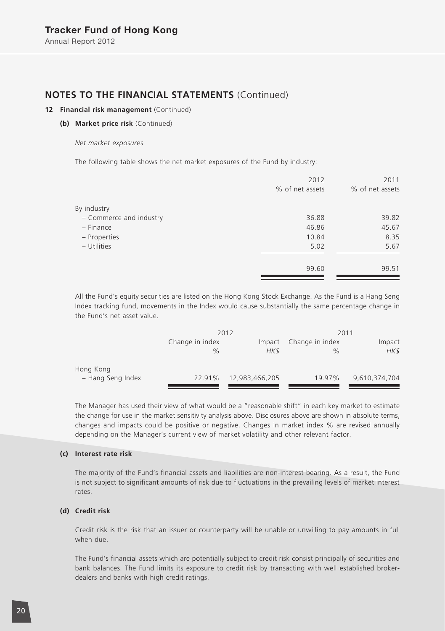#### **12 Financial risk management** (Continued)

**(b) Market price risk** (Continued)

*Net market exposures*

The following table shows the net market exposures of the Fund by industry:

|                         | 2012            | 2011            |
|-------------------------|-----------------|-----------------|
|                         | % of net assets | % of net assets |
| By industry             |                 |                 |
| - Commerce and industry | 36.88           | 39.82           |
| $-$ Finance             | 46.86           | 45.67           |
| - Properties            | 10.84           | 8.35            |
| - Utilities             | 5.02            | 5.67            |
|                         | 99.60           | 99.51           |

All the Fund's equity securities are listed on the Hong Kong Stock Exchange. As the Fund is a Hang Seng Index tracking fund, movements in the Index would cause substantially the same percentage change in the Fund's net asset value.

|                   |                 | 2012           |                 | 2011          |
|-------------------|-----------------|----------------|-----------------|---------------|
|                   | Change in index | Impact         | Change in index | Impact        |
|                   | $\frac{0}{0}$   | HK\$           | $\frac{9}{6}$   | HK\$          |
| Hong Kong         |                 |                |                 |               |
| - Hang Seng Index | 22.91%          | 12,983,466,205 | 19.97%          | 9,610,374,704 |

The Manager has used their view of what would be a "reasonable shift" in each key market to estimate the change for use in the market sensitivity analysis above. Disclosures above are shown in absolute terms, changes and impacts could be positive or negative. Changes in market index % are revised annually depending on the Manager's current view of market volatility and other relevant factor.

#### **(c) Interest rate risk**

The majority of the Fund's financial assets and liabilities are non-interest bearing. As a result, the Fund is not subject to significant amounts of risk due to fluctuations in the prevailing levels of market interest rates.

#### **(d) Credit risk**

Credit risk is the risk that an issuer or counterparty will be unable or unwilling to pay amounts in full when due.

The Fund's financial assets which are potentially subject to credit risk consist principally of securities and bank balances. The Fund limits its exposure to credit risk by transacting with well established brokerdealers and banks with high credit ratings.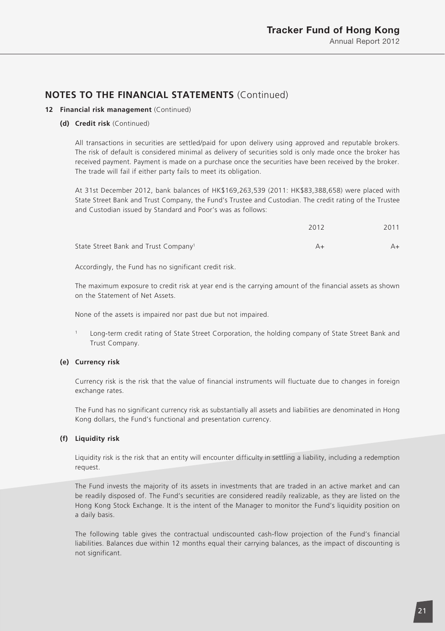#### **12 Financial risk management** (Continued)

#### **(d) Credit risk** (Continued)

All transactions in securities are settled/paid for upon delivery using approved and reputable brokers. The risk of default is considered minimal as delivery of securities sold is only made once the broker has received payment. Payment is made on a purchase once the securities have been received by the broker. The trade will fail if either party fails to meet its obligation.

At 31st December 2012, bank balances of HK\$169,263,539 (2011: HK\$83,388,658) were placed with State Street Bank and Trust Company, the Fund's Trustee and Custodian. The credit rating of the Trustee and Custodian issued by Standard and Poor's was as follows:

|                                                  | 2012 | 2011 |
|--------------------------------------------------|------|------|
| State Street Bank and Trust Company <sup>1</sup> | A+   |      |

Accordingly, the Fund has no significant credit risk.

The maximum exposure to credit risk at year end is the carrying amount of the financial assets as shown on the Statement of Net Assets.

None of the assets is impaired nor past due but not impaired.

<sup>1</sup> Long-term credit rating of State Street Corporation, the holding company of State Street Bank and Trust Company.

#### **(e) Currency risk**

Currency risk is the risk that the value of financial instruments will fluctuate due to changes in foreign exchange rates.

The Fund has no significant currency risk as substantially all assets and liabilities are denominated in Hong Kong dollars, the Fund's functional and presentation currency.

#### **(f) Liquidity risk**

Liquidity risk is the risk that an entity will encounter difficulty in settling a liability, including a redemption request.

The Fund invests the majority of its assets in investments that are traded in an active market and can be readily disposed of. The Fund's securities are considered readily realizable, as they are listed on the Hong Kong Stock Exchange. It is the intent of the Manager to monitor the Fund's liquidity position on a daily basis.

The following table gives the contractual undiscounted cash-flow projection of the Fund's financial liabilities. Balances due within 12 months equal their carrying balances, as the impact of discounting is not significant.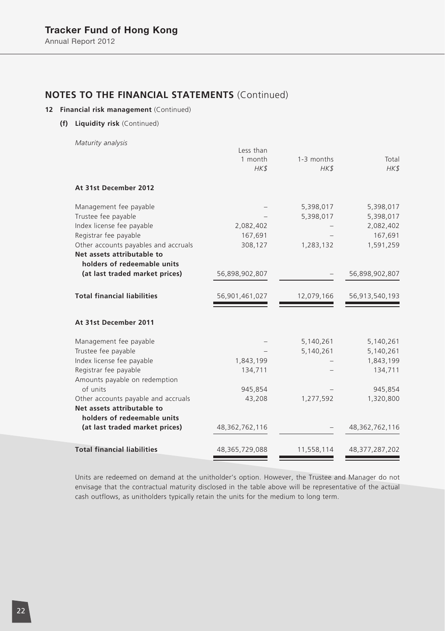#### **12 Financial risk management** (Continued)

**(f) Liquidity risk** (Continued)

*Maturity analysis*

|                                               | Less than      |            |                   |
|-----------------------------------------------|----------------|------------|-------------------|
|                                               | 1 month        | 1-3 months | Total             |
|                                               | HK\$           | HK\$       | HK\$              |
| At 31st December 2012                         |                |            |                   |
| Management fee payable                        |                | 5,398,017  | 5,398,017         |
| Trustee fee payable                           |                | 5,398,017  | 5,398,017         |
| Index license fee payable                     | 2,082,402      |            | 2,082,402         |
| Registrar fee payable                         | 167,691        |            | 167,691           |
| Other accounts payables and accruals          | 308,127        | 1,283,132  | 1,591,259         |
| Net assets attributable to                    |                |            |                   |
| holders of redeemable units                   |                |            |                   |
| (at last traded market prices)                | 56,898,902,807 |            | 56,898,902,807    |
|                                               |                |            |                   |
| <b>Total financial liabilities</b>            | 56,901,461,027 | 12,079,166 | 56,913,540,193    |
|                                               |                |            |                   |
| At 31st December 2011                         |                |            |                   |
|                                               |                | 5,140,261  | 5,140,261         |
| Management fee payable<br>Trustee fee payable |                | 5,140,261  | 5,140,261         |
| Index license fee payable                     | 1,843,199      |            | 1,843,199         |
| Registrar fee payable                         | 134,711        |            | 134,711           |
| Amounts payable on redemption                 |                |            |                   |
| of units                                      | 945,854        |            | 945,854           |
| Other accounts payable and accruals           | 43,208         | 1,277,592  | 1,320,800         |
| Net assets attributable to                    |                |            |                   |
| holders of redeemable units                   |                |            |                   |
| (at last traded market prices)                | 48,362,762,116 |            | 48,362,762,116    |
| <b>Total financial liabilities</b>            | 48,365,729,088 | 11,558,114 | 48, 377, 287, 202 |

Units are redeemed on demand at the unitholder's option. However, the Trustee and Manager do not envisage that the contractual maturity disclosed in the table above will be representative of the actual cash outflows, as unitholders typically retain the units for the medium to long term.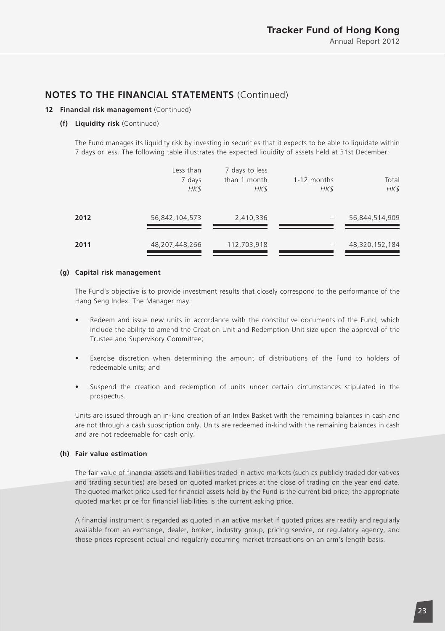#### **12 Financial risk management** (Continued)

#### **(f) Liquidity risk** (Continued)

The Fund manages its liquidity risk by investing in securities that it expects to be able to liquidate within 7 days or less. The following table illustrates the expected liquidity of assets held at 31st December:

|      | Less than<br>7 days<br>HK\$ | 7 days to less<br>than 1 month<br>HK\$ | 1-12 months<br>HK\$ | Total<br>HK\$  |
|------|-----------------------------|----------------------------------------|---------------------|----------------|
| 2012 | 56,842,104,573              | 2,410,336                              |                     | 56,844,514,909 |
| 2011 | 48,207,448,266              | 112,703,918                            |                     | 48,320,152,184 |

#### **(g) Capital risk management**

The Fund's objective is to provide investment results that closely correspond to the performance of the Hang Seng Index. The Manager may:

- Redeem and issue new units in accordance with the constitutive documents of the Fund, which include the ability to amend the Creation Unit and Redemption Unit size upon the approval of the Trustee and Supervisory Committee;
- • Exercise discretion when determining the amount of distributions of the Fund to holders of redeemable units; and
- Suspend the creation and redemption of units under certain circumstances stipulated in the prospectus.

Units are issued through an in-kind creation of an Index Basket with the remaining balances in cash and are not through a cash subscription only. Units are redeemed in-kind with the remaining balances in cash and are not redeemable for cash only.

#### **(h) Fair value estimation**

The fair value of financial assets and liabilities traded in active markets (such as publicly traded derivatives and trading securities) are based on quoted market prices at the close of trading on the year end date. The quoted market price used for financial assets held by the Fund is the current bid price; the appropriate quoted market price for financial liabilities is the current asking price.

A financial instrument is regarded as quoted in an active market if quoted prices are readily and regularly available from an exchange, dealer, broker, industry group, pricing service, or regulatory agency, and those prices represent actual and regularly occurring market transactions on an arm's length basis.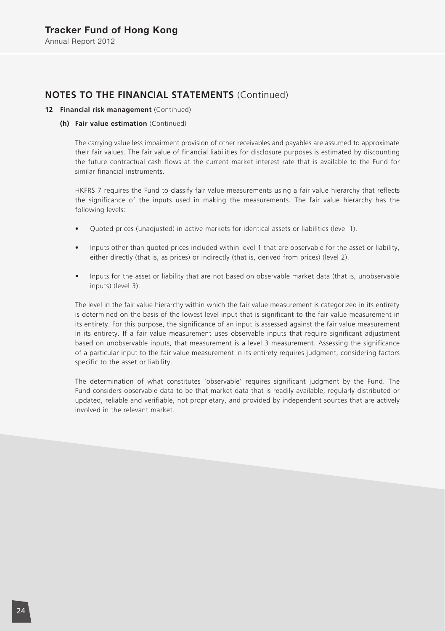#### **12 Financial risk management** (Continued)

#### **(h) Fair value estimation** (Continued)

The carrying value less impairment provision of other receivables and payables are assumed to approximate their fair values. The fair value of financial liabilities for disclosure purposes is estimated by discounting the future contractual cash flows at the current market interest rate that is available to the Fund for similar financial instruments.

HKFRS 7 requires the Fund to classify fair value measurements using a fair value hierarchy that reflects the significance of the inputs used in making the measurements. The fair value hierarchy has the following levels:

- Quoted prices (unadjusted) in active markets for identical assets or liabilities (level 1).
- Inputs other than quoted prices included within level 1 that are observable for the asset or liability, either directly (that is, as prices) or indirectly (that is, derived from prices) (level 2).
- Inputs for the asset or liability that are not based on observable market data (that is, unobservable inputs) (level 3).

The level in the fair value hierarchy within which the fair value measurement is categorized in its entirety is determined on the basis of the lowest level input that is significant to the fair value measurement in its entirety. For this purpose, the significance of an input is assessed against the fair value measurement in its entirety. If a fair value measurement uses observable inputs that require significant adjustment based on unobservable inputs, that measurement is a level 3 measurement. Assessing the significance of a particular input to the fair value measurement in its entirety requires judgment, considering factors specific to the asset or liability.

The determination of what constitutes 'observable' requires significant judgment by the Fund. The Fund considers observable data to be that market data that is readily available, regularly distributed or updated, reliable and verifiable, not proprietary, and provided by independent sources that are actively involved in the relevant market.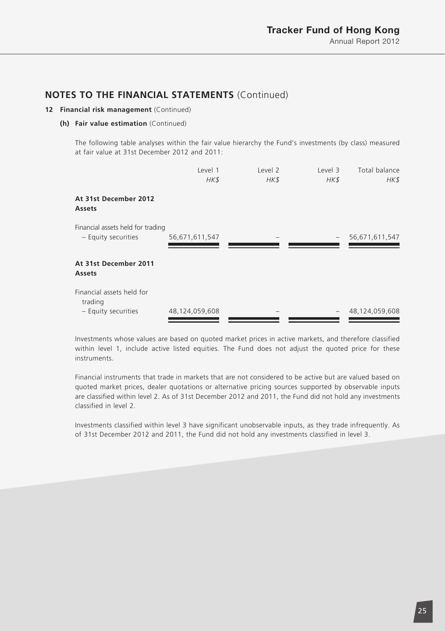#### **12 Financial risk management** (Continued)

#### **(h) Fair value estimation** (Continued)

The following table analyses within the fair value hierarchy the Fund's investments (by class) measured at fair value at 31st December 2012 and 2011:

|                                                          | Level 1<br>HK\$ | Level 2<br>HK\$ | Level 3<br>HK\$ | Total balance<br>HK\$ |
|----------------------------------------------------------|-----------------|-----------------|-----------------|-----------------------|
| At 31st December 2012<br><b>Assets</b>                   |                 |                 |                 |                       |
| Financial assets held for trading<br>- Equity securities | 56,671,611,547  |                 |                 | 56,671,611,547        |
| At 31st December 2011<br>Assets                          |                 |                 |                 |                       |
| Financial assets held for<br>trading                     |                 |                 |                 |                       |
| - Equity securities                                      | 48,124,059,608  |                 |                 | 48,124,059,608        |

Investments whose values are based on quoted market prices in active markets, and therefore classified within level 1, include active listed equities. The Fund does not adjust the quoted price for these instruments.

Financial instruments that trade in markets that are not considered to be active but are valued based on quoted market prices, dealer quotations or alternative pricing sources supported by observable inputs are classified within level 2. As of 31st December 2012 and 2011, the Fund did not hold any investments classified in level 2.

Investments classified within level 3 have significant unobservable inputs, as they trade infrequently. As of 31st December 2012 and 2011, the Fund did not hold any investments classified in level 3.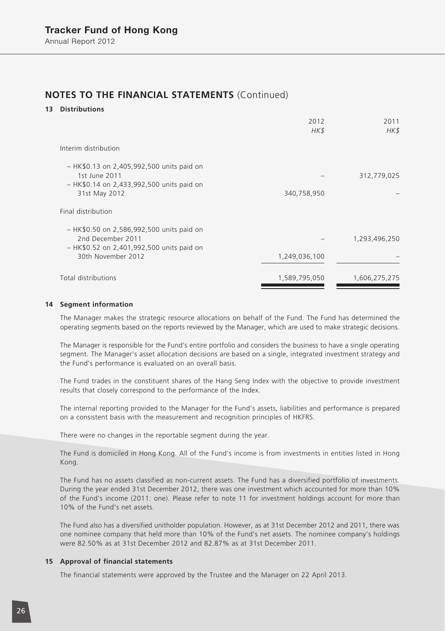#### **13 Distributions**

|                                                                                                                            | 2012<br>HK\$  | 2011<br>HK\$  |
|----------------------------------------------------------------------------------------------------------------------------|---------------|---------------|
| Interim distribution                                                                                                       |               |               |
| - HK\$0.13 on 2,405,992,500 units paid on<br>1st June 2011<br>$-$ HK\$0.14 on 2,433,992,500 units paid on<br>31st May 2012 | 340,758,950   | 312,779,025   |
| Final distribution                                                                                                         |               |               |
| - HK\$0.50 on 2,586,992,500 units paid on<br>2nd December 2011<br>- HK\$0.52 on 2,401,992,500 units paid on                |               | 1,293,496,250 |
| 30th November 2012                                                                                                         | 1,249,036,100 |               |
| Total distributions                                                                                                        | 1,589,795,050 | 1,606,275,275 |
|                                                                                                                            |               |               |

#### **14 Segment information**

The Manager makes the strategic resource allocations on behalf of the Fund. The Fund has determined the operating segments based on the reports reviewed by the Manager, which are used to make strategic decisions.

The Manager is responsible for the Fund's entire portfolio and considers the business to have a single operating segment. The Manager's asset allocation decisions are based on a single, integrated investment strategy and the Fund's performance is evaluated on an overall basis.

The Fund trades in the constituent shares of the Hang Seng Index with the objective to provide investment results that closely correspond to the performance of the Index.

The internal reporting provided to the Manager for the Fund's assets, liabilities and performance is prepared on a consistent basis with the measurement and recognition principles of HKFRS.

There were no changes in the reportable segment during the year.

The Fund is domiciled in Hong Kong. All of the Fund's income is from investments in entities listed in Hong Kong.

The Fund has no assets classified as non-current assets. The Fund has a diversified portfolio of investments. During the year ended 31st December 2012, there was one investment which accounted for more than 10% of the Fund's income (2011: one). Please refer to note 11 for investment holdings account for more than 10% of the Fund's net assets.

The Fund also has a diversified unitholder population. However, as at 31st December 2012 and 2011, there was one nominee company that held more than 10% of the Fund's net assets. The nominee company's holdings were 82.50% as at 31st December 2012 and 82.87% as at 31st December 2011.

#### **15 Approval of financial statements**

The financial statements were approved by the Trustee and the Manager on 22 April 2013.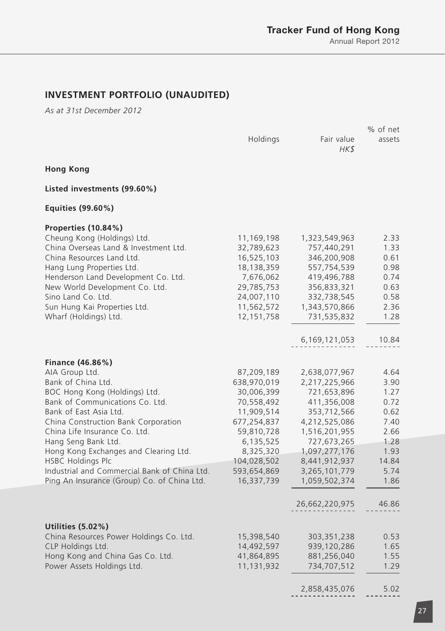### **INVESTMENT PORTFOLIO (UNAUDITED)**

*As at 31st December 2012*

|                                              |                         |                    | % of net |
|----------------------------------------------|-------------------------|--------------------|----------|
|                                              | Holdings                | Fair value<br>HK\$ | assets   |
| <b>Hong Kong</b>                             |                         |                    |          |
| Listed investments (99.60%)                  |                         |                    |          |
| Equities (99.60%)                            |                         |                    |          |
| Properties (10.84%)                          |                         |                    |          |
| Cheung Kong (Holdings) Ltd.                  | 11,169,198              | 1,323,549,963      | 2.33     |
| China Overseas Land & Investment Ltd.        | 32,789,623              | 757,440,291        | 1.33     |
| China Resources Land Ltd.                    | 16,525,103              | 346,200,908        | 0.61     |
| Hang Lung Properties Ltd.                    | 18,138,359              | 557,754,539        | 0.98     |
| Henderson Land Development Co. Ltd.          | 7,676,062               | 419,496,788        | 0.74     |
| New World Development Co. Ltd.               | 29,785,753              | 356,833,321        | 0.63     |
| Sino Land Co. Ltd.                           | 24,007,110              | 332,738,545        | 0.58     |
| Sun Hung Kai Properties Ltd.                 | 11,562,572              | 1,343,570,866      | 2.36     |
| Wharf (Holdings) Ltd.                        | 12, 151, 758            | 731,535,832        | 1.28     |
|                                              |                         | 6,169,121,053      | 10.84    |
| Finance (46.86%)                             |                         |                    |          |
| AIA Group Ltd.                               | 87,209,189              | 2,638,077,967      | 4.64     |
| Bank of China Ltd.                           | 638,970,019             | 2,217,225,966      | 3.90     |
| BOC Hong Kong (Holdings) Ltd.                | 30,006,399              | 721,653,896        | 1.27     |
| Bank of Communications Co. Ltd.              | 70,558,492              | 411,356,008        | 0.72     |
| Bank of East Asia Ltd.                       | 11,909,514              | 353,712,566        | 0.62     |
| China Construction Bank Corporation          | 677,254,837             | 4,212,525,086      | 7.40     |
| China Life Insurance Co. Ltd.                |                         | 1,516,201,955      | 2.66     |
| Hang Seng Bank Ltd.                          | 59,810,728<br>6,135,525 | 727,673,265        | 1.28     |
| Hong Kong Exchanges and Clearing Ltd.        | 8,325,320               | 1,097,277,176      | 1.93     |
| <b>HSBC Holdings Plc</b>                     | 104,028,502             | 8,441,912,937      | 14.84    |
| Industrial and Commercial Bank of China Ltd. | 593,654,869             | 3,265,101,779      | 5.74     |
| Ping An Insurance (Group) Co. of China Ltd.  | 16,337,739              | 1,059,502,374      | 1.86     |
|                                              |                         |                    |          |
|                                              |                         | 26,662,220,975     | 46.86    |
| Utilities (5.02%)                            |                         |                    |          |
| China Resources Power Holdings Co. Ltd.      | 15,398,540              | 303,351,238        | 0.53     |
| CLP Holdings Ltd.                            | 14,492,597              | 939,120,286        | 1.65     |
| Hong Kong and China Gas Co. Ltd.             | 41,864,895              | 881,256,040        | 1.55     |
| Power Assets Holdings Ltd.                   | 11,131,932              | 734,707,512        | 1.29     |
|                                              |                         | 2,858,435,076      | 5.02     |
|                                              |                         |                    |          |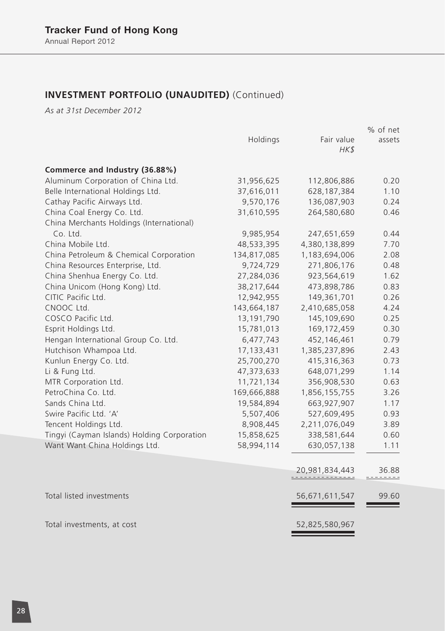### **INVESTMENT PORTFOLIO (UNAUDITED)** (Continued)

*As at 31st December 2012*

|                                             |              |                    | % of net                 |
|---------------------------------------------|--------------|--------------------|--------------------------|
|                                             | Holdings     | Fair value<br>HK\$ | assets                   |
| Commerce and Industry (36.88%)              |              |                    |                          |
| Aluminum Corporation of China Ltd.          | 31,956,625   | 112,806,886        | 0.20                     |
| Belle International Holdings Ltd.           | 37,616,011   | 628, 187, 384      | 1.10                     |
| Cathay Pacific Airways Ltd.                 | 9,570,176    | 136,087,903        | 0.24                     |
| China Coal Energy Co. Ltd.                  | 31,610,595   | 264,580,680        | 0.46                     |
| China Merchants Holdings (International)    |              |                    |                          |
| Co. Ltd.                                    | 9,985,954    | 247,651,659        | 0.44                     |
| China Mobile Ltd.                           | 48,533,395   | 4,380,138,899      | 7.70                     |
| China Petroleum & Chemical Corporation      | 134,817,085  | 1,183,694,006      | 2.08                     |
| China Resources Enterprise, Ltd.            | 9,724,729    | 271,806,176        | 0.48                     |
| China Shenhua Energy Co. Ltd.               | 27,284,036   | 923,564,619        | 1.62                     |
| China Unicom (Hong Kong) Ltd.               | 38,217,644   | 473,898,786        | 0.83                     |
| CITIC Pacific Ltd.                          | 12,942,955   | 149,361,701        | 0.26                     |
| CNOOC Ltd.                                  | 143,664,187  | 2,410,685,058      | 4.24                     |
| COSCO Pacific Ltd.                          | 13,191,790   | 145,109,690        | 0.25                     |
| Esprit Holdings Ltd.                        | 15,781,013   | 169, 172, 459      | 0.30                     |
| Hengan International Group Co. Ltd.         | 6,477,743    | 452,146,461        | 0.79                     |
| Hutchison Whampoa Ltd.                      | 17, 133, 431 | 1,385,237,896      | 2.43                     |
| Kunlun Energy Co. Ltd.                      | 25,700,270   | 415,316,363        | 0.73                     |
| Li & Fung Ltd.                              | 47,373,633   | 648,071,299        | 1.14                     |
| MTR Corporation Ltd.                        | 11,721,134   | 356,908,530        | 0.63                     |
| PetroChina Co. Ltd.                         | 169,666,888  | 1,856,155,755      | 3.26                     |
| Sands China Ltd.                            | 19,584,894   | 663,927,907        | 1.17                     |
| Swire Pacific Ltd. 'A'                      | 5,507,406    | 527,609,495        | 0.93                     |
| Tencent Holdings Ltd.                       | 8,908,445    | 2,211,076,049      | 3.89                     |
| Tingyi (Cayman Islands) Holding Corporation | 15,858,625   | 338,581,644        | 0.60                     |
| Want Want China Holdings Ltd.               | 58,994,114   | 630,057,138        | 1.11                     |
|                                             |              |                    |                          |
|                                             |              | 20,981,834,443     | 36.88<br>$- - - - - - -$ |
| Total listed investments                    |              | 56,671,611,547     | 99.60                    |
| Total investments, at cost                  |              | 52,825,580,967     |                          |

\_\_\_\_\_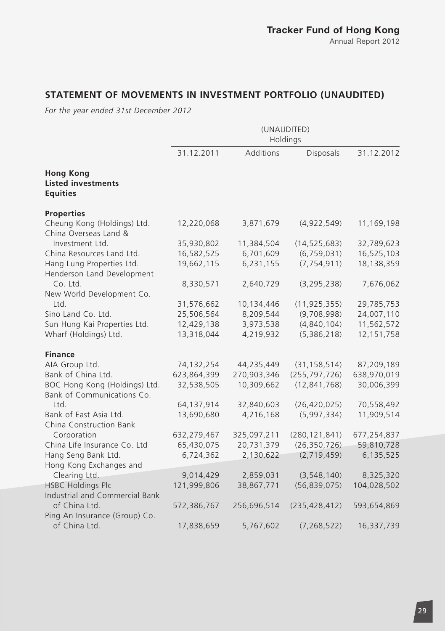### **STATEMENT OF MOVEMENTS IN INVESTMENT PORTFOLIO (UNAUDITED)**

*For the year ended 31st December 2012*

|                                                                  | (UNAUDITED)<br>Holdings |                  |                  |              |
|------------------------------------------------------------------|-------------------------|------------------|------------------|--------------|
|                                                                  | 31.12.2011              | <b>Additions</b> | <b>Disposals</b> | 31.12.2012   |
| <b>Hong Kong</b><br><b>Listed investments</b><br><b>Equities</b> |                         |                  |                  |              |
| <b>Properties</b>                                                |                         |                  |                  |              |
| Cheung Kong (Holdings) Ltd.<br>China Overseas Land &             | 12,220,068              | 3,871,679        | (4,922,549)      | 11,169,198   |
| Investment Ltd.                                                  | 35,930,802              | 11,384,504       | (14, 525, 683)   | 32,789,623   |
| China Resources Land Ltd.                                        | 16,582,525              | 6,701,609        | (6,759,031)      | 16,525,103   |
| Hang Lung Properties Ltd.<br>Henderson Land Development          | 19,662,115              | 6,231,155        | (7, 754, 911)    | 18,138,359   |
| Co. Ltd.<br>New World Development Co.                            | 8,330,571               | 2,640,729        | (3, 295, 238)    | 7,676,062    |
| Ltd.                                                             | 31,576,662              | 10,134,446       | (11, 925, 355)   | 29,785,753   |
| Sino Land Co. Ltd.                                               | 25,506,564              | 8,209,544        | (9,708,998)      | 24,007,110   |
| Sun Hung Kai Properties Ltd.                                     | 12,429,138              | 3,973,538        | (4,840,104)      | 11,562,572   |
| Wharf (Holdings) Ltd.                                            | 13,318,044              | 4,219,932        | (5,386,218)      | 12, 151, 758 |
| <b>Finance</b>                                                   |                         |                  |                  |              |
| AIA Group Ltd.                                                   | 74,132,254              | 44,235,449       | (31, 158, 514)   | 87,209,189   |
| Bank of China Ltd.                                               | 623,864,399             | 270,903,346      | (255, 797, 726)  | 638,970,019  |
| BOC Hong Kong (Holdings) Ltd.<br>Bank of Communications Co.      | 32,538,505              | 10,309,662       | (12, 841, 768)   | 30,006,399   |
| Ltd.                                                             | 64,137,914              | 32,840,603       | (26, 420, 025)   | 70,558,492   |
| Bank of East Asia Ltd.<br>China Construction Bank                | 13,690,680              | 4,216,168        | (5,997,334)      | 11,909,514   |
| Corporation                                                      | 632,279,467             | 325,097,211      | (280, 121, 841)  | 677,254,837  |
| China Life Insurance Co. Ltd                                     | 65,430,075              | 20,731,379       | (26, 350, 726)   | 59,810,728   |
| Hang Seng Bank Ltd.                                              | 6,724,362               | 2,130,622        | (2,719,459)      | 6,135,525    |
| Hong Kong Exchanges and                                          |                         |                  |                  |              |
| Clearing Ltd.                                                    | 9,014,429               | 2,859,031        | (3,548,140)      | 8,325,320    |
| <b>HSBC Holdings Plc</b><br>Industrial and Commercial Bank       | 121,999,806             | 38,867,771       | (56, 839, 075)   | 104,028,502  |
| of China Ltd.<br>Ping An Insurance (Group) Co.                   | 572,386,767             | 256,696,514      | (235, 428, 412)  | 593,654,869  |
| of China Ltd.                                                    | 17,838,659              | 5,767,602        | (7, 268, 522)    | 16,337,739   |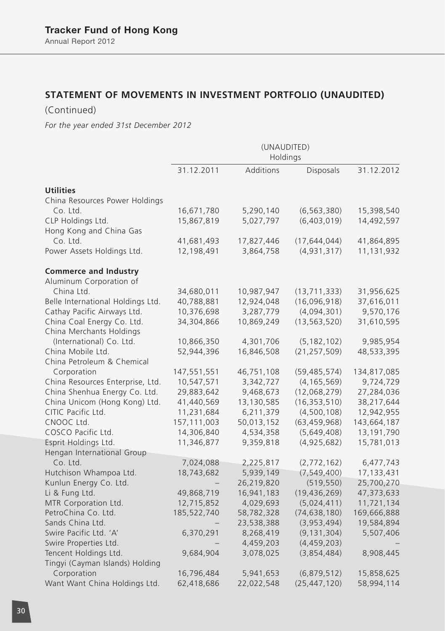### **STATEMENT OF MOVEMENTS IN INVESTMENT PORTFOLIO (UNAUDITED)**

(Continued)

*For the year ended 31st December 2012*

|                                   | (UNAUDITED)   |            |                |             |
|-----------------------------------|---------------|------------|----------------|-------------|
|                                   | Holdings      |            |                |             |
|                                   | 31.12.2011    | Additions  | Disposals      | 31.12.2012  |
| <b>Utilities</b>                  |               |            |                |             |
| China Resources Power Holdings    |               |            |                |             |
| Co. Ltd.                          | 16,671,780    | 5,290,140  | (6, 563, 380)  | 15,398,540  |
| CLP Holdings Ltd.                 | 15,867,819    | 5,027,797  | (6,403,019)    | 14,492,597  |
| Hong Kong and China Gas           |               |            |                |             |
| Co. Ltd.                          | 41,681,493    | 17,827,446 | (17, 644, 044) | 41,864,895  |
| Power Assets Holdings Ltd.        | 12,198,491    | 3,864,758  | (4,931,317)    | 11,131,932  |
| <b>Commerce and Industry</b>      |               |            |                |             |
| Aluminum Corporation of           |               |            |                |             |
| China Ltd.                        | 34,680,011    | 10,987,947 | (13, 711, 333) | 31,956,625  |
| Belle International Holdings Ltd. | 40,788,881    | 12,924,048 | (16,096,918)   | 37,616,011  |
| Cathay Pacific Airways Ltd.       | 10,376,698    | 3,287,779  | (4,094,301)    | 9,570,176   |
| China Coal Energy Co. Ltd.        | 34,304,866    | 10,869,249 | (13, 563, 520) | 31,610,595  |
| China Merchants Holdings          |               |            |                |             |
| (International) Co. Ltd.          | 10,866,350    | 4,301,706  | (5, 182, 102)  | 9,985,954   |
| China Mobile Ltd.                 | 52,944,396    | 16,846,508 | (21, 257, 509) | 48,533,395  |
| China Petroleum & Chemical        |               |            |                |             |
| Corporation                       | 147,551,551   | 46,751,108 | (59, 485, 574) | 134,817,085 |
| China Resources Enterprise, Ltd.  | 10,547,571    | 3,342,727  | (4, 165, 569)  | 9,724,729   |
| China Shenhua Energy Co. Ltd.     | 29,883,642    | 9,468,673  | (12,068,279)   | 27,284,036  |
| China Unicom (Hong Kong) Ltd.     | 41,440,569    | 13,130,585 | (16, 353, 510) | 38,217,644  |
| CITIC Pacific Ltd.                | 11,231,684    | 6,211,379  | (4,500,108)    | 12,942,955  |
| CNOOC Ltd.                        | 157, 111, 003 | 50,013,152 | (63, 459, 968) | 143,664,187 |
| COSCO Pacific Ltd.                | 14,306,840    | 4,534,358  | (5,649,408)    | 13,191,790  |
| Esprit Holdings Ltd.              | 11,346,877    | 9,359,818  | (4,925,682)    | 15,781,013  |
| Hengan International Group        |               |            |                |             |
| Co. Ltd.                          | 7,024,088     | 2,225,817  | (2,772,162)    | 6,477,743   |
| Hutchison Whampoa Ltd.            | 18,743,682    | 5,939,149  | (7, 549, 400)  | 17,133,431  |
| Kunlun Energy Co. Ltd.            |               | 26,219,820 | (519, 550)     | 25,700,270  |
| Li & Fung Ltd.                    | 49,868,719    | 16,941,183 | (19, 436, 269) | 47,373,633  |
| MTR Corporation Ltd.              | 12,715,852    | 4,029,693  | (5,024,411)    | 11,721,134  |
| PetroChina Co. Ltd.               | 185,522,740   | 58,782,328 | (74, 638, 180) | 169,666,888 |
| Sands China Ltd.                  |               | 23,538,388 | (3,953,494)    | 19,584,894  |
| Swire Pacific Ltd. 'A'            | 6,370,291     | 8,268,419  | (9, 131, 304)  | 5,507,406   |
| Swire Properties Ltd.             |               | 4,459,203  | (4,459,203)    |             |
| Tencent Holdings Ltd.             | 9,684,904     | 3,078,025  | (3,854,484)    | 8,908,445   |
| Tingyi (Cayman Islands) Holding   |               |            |                |             |
| Corporation                       | 16,796,484    | 5,941,653  | (6,879,512)    | 15,858,625  |
| Want Want China Holdings Ltd.     | 62,418,686    | 22,022,548 | (25, 447, 120) | 58,994,114  |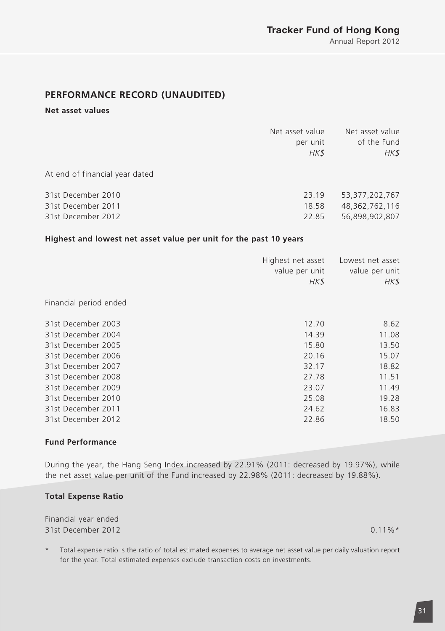### **PERFORMANCE RECORD (UNAUDITED)**

### **Net asset values**

|                                                                | Net asset value<br>per unit<br>HK\$ | Net asset value<br>of the Fund<br>HK\$                |
|----------------------------------------------------------------|-------------------------------------|-------------------------------------------------------|
| At end of financial year dated                                 |                                     |                                                       |
| 31st December 2010<br>31st December 2011<br>31st December 2012 | 23.19<br>18.58<br>22.85             | 53,377,202,767<br>48, 362, 762, 116<br>56.898.902.807 |

### **Highest and lowest net asset value per unit for the past 10 years**

| value per unit<br>value per unit<br>HK\$ | HK\$  |
|------------------------------------------|-------|
| Financial period ended                   |       |
| 31st December 2003<br>12.70              | 8.62  |
| 31st December 2004<br>14.39              | 11.08 |
| 15.80<br>31st December 2005              | 13.50 |
| 31st December 2006<br>20.16              | 15.07 |
| 31st December 2007<br>32.17              | 18.82 |
| 31st December 2008<br>27.78              | 11.51 |
| 31st December 2009<br>23.07              | 11.49 |
| 31st December 2010<br>25.08              | 19.28 |
| 31st December 2011<br>24.62              | 16.83 |
| 31st December 2012<br>22.86              | 18.50 |

#### **Fund Performance**

During the year, the Hang Seng Index increased by 22.91% (2011: decreased by 19.97%), while the net asset value per unit of the Fund increased by 22.98% (2011: decreased by 19.88%).

### **Total Expense Ratio**

Financial year ended 31st December 2012 **0.11%\*** 0.11%\* 0.11%\* 0.11%\* 0.11%\* 0.11%\* 0.11%\* 0.11%\* 0.11%\* 0.11%\* 0.11%\* 0.11%\* 0.11%\* 0.11%\* 0.11%\* 0.11%\* 0.11%\* 0.11%\* 0.11%\* 0.11%\* 0.11%\* 0.11%\* 0.11%\* 0.11%\* 0.11%\* 0.11%\* 0.11%\* 0.11%\* 0.11%

Total expense ratio is the ratio of total estimated expenses to average net asset value per daily valuation report for the year. Total estimated expenses exclude transaction costs on investments.